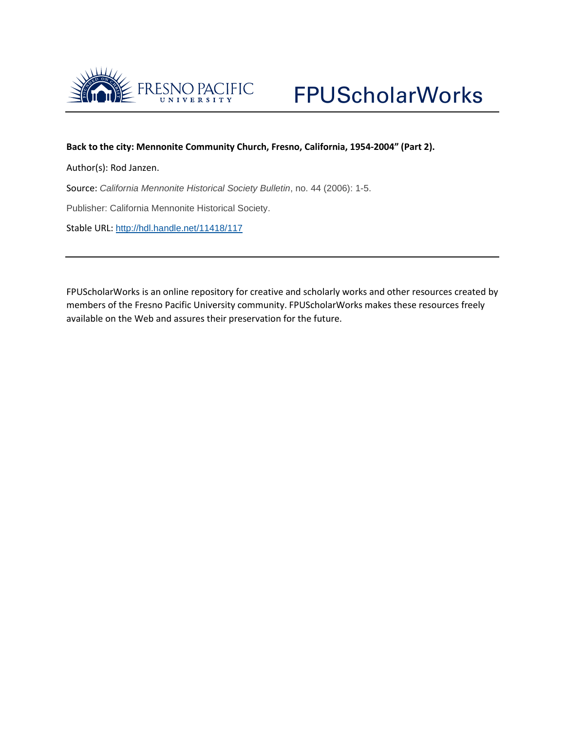

### **Back to the city: Mennonite Community Church, Fresno, California, 1954-2004" (Part 2).**

Author(s): Rod Janzen.

Source: *California Mennonite Historical Society Bulletin*, no. 44 (2006): 1-5.

Publisher: California Mennonite Historical Society.

Stable URL: <http://hdl.handle.net/11418/117>

FPUScholarWorks is an online repository for creative and scholarly works and other resources created by members of the Fresno Pacific University community. FPUScholarWorks makes these resources freely available on the Web and assures their preservation for the future.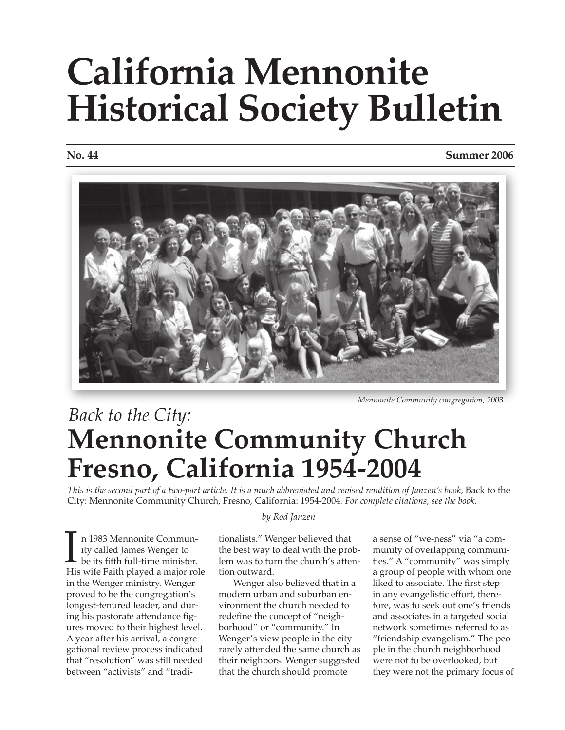# **California Mennonite Historical Society Bulletin**

#### **No. 44 Summer 2006**



*Mennonite Community congregation, 2003.*

## **Mennonite Community Church Fresno, California 1954-2004** *Back to the City:*

*This is the second part of a two-part article. It is a much abbreviated and revised rendition of Janzen's book,* Back to the City: Mennonite Community Church, Fresno, California: 1954-2004*. For complete citations, see the book.*

 n 1983 Mennonite Commun- ity called James Wenger to be its fifth full-time minister. n 1983 Mennonite Community called James Wenger to<br>be its fifth full-time minister.<br>His wife Faith played a major role in the Wenger ministry. Wenger proved to be the congregation's longest-tenured leader, and during his pastorate attendance figures moved to their highest level. A year after his arrival, a congregational review process indicated that "resolution" was still needed between "activists" and "tradi-

### *by Rod Janzen*

tionalists." Wenger believed that the best way to deal with the problem was to turn the church's attention outward.

Wenger also believed that in a modern urban and suburban environment the church needed to redefine the concept of "neighborhood" or "community." In Wenger's view people in the city rarely attended the same church as their neighbors. Wenger suggested that the church should promote

a sense of "we-ness" via "a community of overlapping communities." A "community" was simply a group of people with whom one liked to associate. The first step in any evangelistic effort, therefore, was to seek out one's friends and associates in a targeted social network sometimes referred to as "friendship evangelism." The people in the church neighborhood were not to be overlooked, but they were not the primary focus of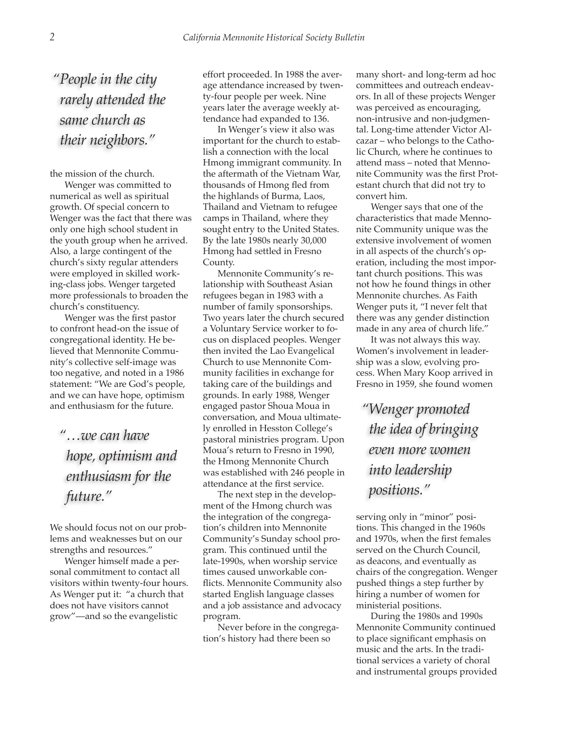*"People in the city rarely attended the same church as their neighbors."*

the mission of the church.

Wenger was committed to numerical as well as spiritual growth. Of special concern to Wenger was the fact that there was only one high school student in the youth group when he arrived. Also, a large contingent of the church's sixty regular attenders were employed in skilled working-class jobs. Wenger targeted more professionals to broaden the church's constituency.

Wenger was the first pastor to confront head-on the issue of congregational identity. He believed that Mennonite Community's collective self-image was too negative, and noted in a 1986 statement: "We are God's people, and we can have hope, optimism and enthusiasm for the future.

*"…we can have hope, optimism and enthusiasm for the future."*

We should focus not on our problems and weaknesses but on our strengths and resources."

Wenger himself made a personal commitment to contact all visitors within twenty-four hours. As Wenger put it: "a church that does not have visitors cannot grow"—and so the evangelistic

effort proceeded. In 1988 the average attendance increased by twenty-four people per week. Nine years later the average weekly attendance had expanded to 136.

In Wenger's view it also was important for the church to establish a connection with the local Hmong immigrant community. In the aftermath of the Vietnam War, thousands of Hmong fled from the highlands of Burma, Laos, Thailand and Vietnam to refugee camps in Thailand, where they sought entry to the United States. By the late 1980s nearly 30,000 Hmong had settled in Fresno County.

Mennonite Community's relationship with Southeast Asian refugees began in 1983 with a number of family sponsorships. Two years later the church secured a Voluntary Service worker to focus on displaced peoples. Wenger then invited the Lao Evangelical Church to use Mennonite Community facilities in exchange for taking care of the buildings and grounds. In early 1988, Wenger engaged pastor Shoua Moua in conversation, and Moua ultimately enrolled in Hesston College's pastoral ministries program. Upon Moua's return to Fresno in 1990, the Hmong Mennonite Church was established with 246 people in attendance at the first service.

The next step in the development of the Hmong church was the integration of the congregation's children into Mennonite Community's Sunday school program. This continued until the late-1990s, when worship service times caused unworkable conflicts. Mennonite Community also started English language classes and a job assistance and advocacy program.

Never before in the congregation's history had there been so

many short- and long-term ad hoc committees and outreach endeavors. In all of these projects Wenger was perceived as encouraging, non-intrusive and non-judgmental. Long-time attender Victor Alcazar – who belongs to the Catholic Church, where he continues to attend mass – noted that Mennonite Community was the first Protestant church that did not try to convert him.

Wenger says that one of the characteristics that made Mennonite Community unique was the extensive involvement of women in all aspects of the church's operation, including the most important church positions. This was not how he found things in other Mennonite churches. As Faith Wenger puts it, "I never felt that there was any gender distinction made in any area of church life."

It was not always this way. Women's involvement in leadership was a slow, evolving process. When Mary Koop arrived in Fresno in 1959, she found women

*"Wenger promoted the idea of bringing even more women into leadership positions."*

serving only in "minor" positions. This changed in the 1960s and 1970s, when the first females served on the Church Council, as deacons, and eventually as chairs of the congregation. Wenger pushed things a step further by hiring a number of women for ministerial positions.

During the 1980s and 1990s Mennonite Community continued to place significant emphasis on music and the arts. In the traditional services a variety of choral and instrumental groups provided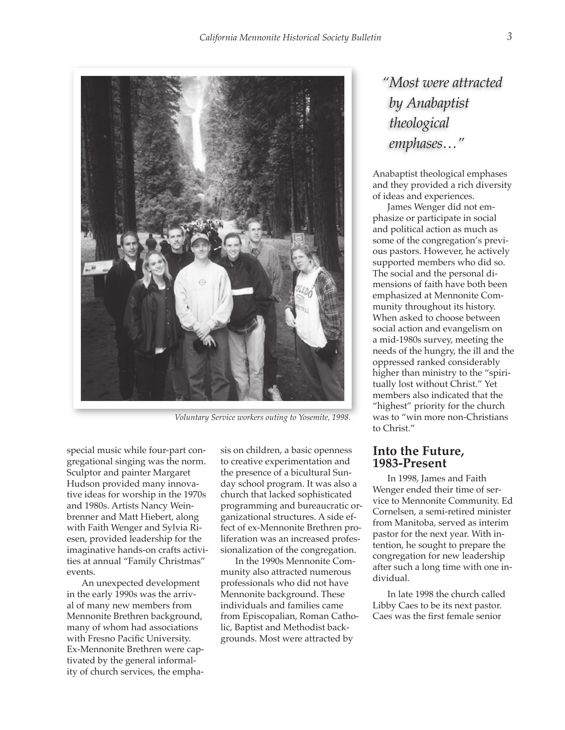

*Voluntary Service workers outing to Yosemite, 1998.* 

special music while four-part congregational singing was the norm. Sculptor and painter Margaret Hudson provided many innovative ideas for worship in the 1970s and 1980s. Artists Nancy Weinbrenner and Matt Hiebert, along with Faith Wenger and Sylvia Riesen, provided leadership for the imaginative hands-on crafts activities at annual "Family Christmas" events.

An unexpected development in the early 1990s was the arrival of many new members from Mennonite Brethren background, many of whom had associations with Fresno Pacific University. Ex-Mennonite Brethren were captivated by the general informality of church services, the emphasis on children, a basic openness to creative experimentation and the presence of a bicultural Sunday school program. It was also a church that lacked sophisticated programming and bureaucratic organizational structures. A side effect of ex-Mennonite Brethren proliferation was an increased professionalization of the congregation.

In the 1990s Mennonite Community also attracted numerous professionals who did not have Mennonite background. These individuals and families came from Episcopalian, Roman Catholic, Baptist and Methodist backgrounds. Most were attracted by

### *"Most were attracted by Anabaptist theological emphases…"*

Anabaptist theological emphases and they provided a rich diversity of ideas and experiences.

James Wenger did not emphasize or participate in social and political action as much as some of the congregation's previous pastors. However, he actively supported members who did so. The social and the personal dimensions of faith have both been emphasized at Mennonite Community throughout its history. When asked to choose between social action and evangelism on a mid-1980s survey, meeting the needs of the hungry, the ill and the oppressed ranked considerably higher than ministry to the "spiritually lost without Christ." Yet members also indicated that the "highest" priority for the church was to "win more non-Christians to Christ."

### **Into the Future, 1983-Present**

In 1998, James and Faith Wenger ended their time of service to Mennonite Community. Ed Cornelsen, a semi-retired minister from Manitoba, served as interim pastor for the next year. With intention, he sought to prepare the congregation for new leadership after such a long time with one individual.

In late 1998 the church called Libby Caes to be its next pastor. Caes was the first female senior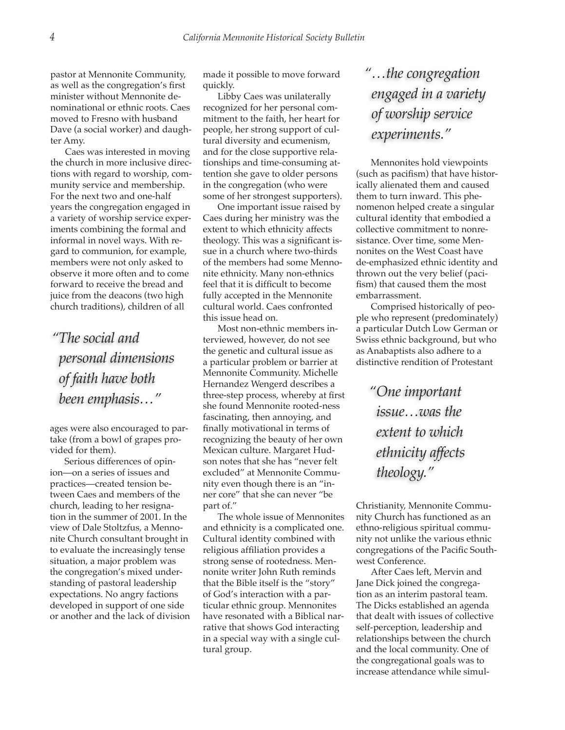pastor at Mennonite Community, as well as the congregation's first minister without Mennonite denominational or ethnic roots. Caes moved to Fresno with husband Dave (a social worker) and daughter Amy.

Caes was interested in moving the church in more inclusive directions with regard to worship, community service and membership. For the next two and one-half years the congregation engaged in a variety of worship service experiments combining the formal and informal in novel ways. With regard to communion, for example, members were not only asked to observe it more often and to come forward to receive the bread and juice from the deacons (two high church traditions), children of all

*"The social and personal dimensions of faith have both been emphasis…"*

ages were also encouraged to partake (from a bowl of grapes provided for them).

Serious differences of opinion—on a series of issues and practices—created tension between Caes and members of the church, leading to her resignation in the summer of 2001. In the view of Dale Stoltzfus, a Mennonite Church consultant brought in to evaluate the increasingly tense situation, a major problem was the congregation's mixed understanding of pastoral leadership expectations. No angry factions developed in support of one side or another and the lack of division made it possible to move forward quickly.

Libby Caes was unilaterally recognized for her personal commitment to the faith, her heart for people, her strong support of cultural diversity and ecumenism, and for the close supportive relationships and time-consuming attention she gave to older persons in the congregation (who were some of her strongest supporters).

One important issue raised by Caes during her ministry was the extent to which ethnicity affects theology. This was a significant issue in a church where two-thirds of the members had some Mennonite ethnicity. Many non-ethnics feel that it is difficult to become fully accepted in the Mennonite cultural world. Caes confronted this issue head on.

Most non-ethnic members interviewed, however, do not see the genetic and cultural issue as a particular problem or barrier at Mennonite Community. Michelle Hernandez Wengerd describes a three-step process, whereby at first she found Mennonite rooted-ness fascinating, then annoying, and finally motivational in terms of recognizing the beauty of her own Mexican culture. Margaret Hudson notes that she has "never felt excluded" at Mennonite Community even though there is an "inner core" that she can never "be part of."

The whole issue of Mennonites and ethnicity is a complicated one. Cultural identity combined with religious affiliation provides a strong sense of rootedness. Mennonite writer John Ruth reminds that the Bible itself is the "story" of God's interaction with a particular ethnic group. Mennonites have resonated with a Biblical narrative that shows God interacting in a special way with a single cultural group.

### *"…the congregation engaged in a variety of worship service experiments."*

Mennonites hold viewpoints (such as pacifism) that have historically alienated them and caused them to turn inward. This phenomenon helped create a singular cultural identity that embodied a collective commitment to nonresistance. Over time, some Mennonites on the West Coast have de-emphasized ethnic identity and thrown out the very belief (pacifism) that caused them the most embarrassment.

Comprised historically of people who represent (predominately) a particular Dutch Low German or Swiss ethnic background, but who as Anabaptists also adhere to a distinctive rendition of Protestant

*"One important issue…was the extent to which ethnicity affects theology."*

Christianity, Mennonite Community Church has functioned as an ethno-religious spiritual community not unlike the various ethnic congregations of the Pacific Southwest Conference.

After Caes left, Mervin and Jane Dick joined the congregation as an interim pastoral team. The Dicks established an agenda that dealt with issues of collective self-perception, leadership and relationships between the church and the local community. One of the congregational goals was to increase attendance while simul-